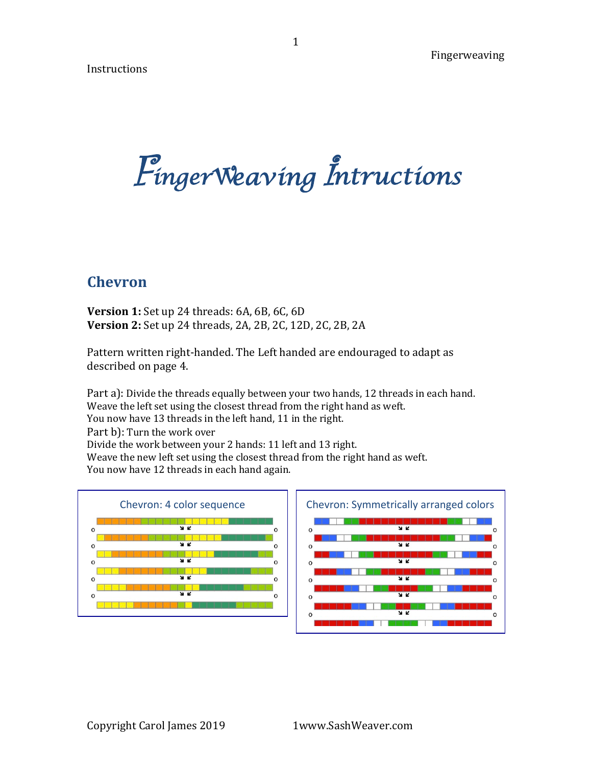Instructions

*Einger Weaving Intructions* 

# **Chevron**

**Version 1:** Set up 24 threads: 6A, 6B, 6C, 6D **Version 2:** Set up 24 threads, 2A, 2B, 2C, 12D, 2C, 2B, 2A

Pattern written right-handed. The Left handed are endouraged to adapt as described on page 4.

Part a): Divide the threads equally between your two hands, 12 threads in each hand. Weave the left set using the closest thread from the right hand as weft. You now have 13 threads in the left hand, 11 in the right. Part b): Turn the work over Divide the work between your 2 hands: 11 left and 13 right. Weave the new left set using the closest thread from the right hand as weft. You now have 12 threads in each hand again.

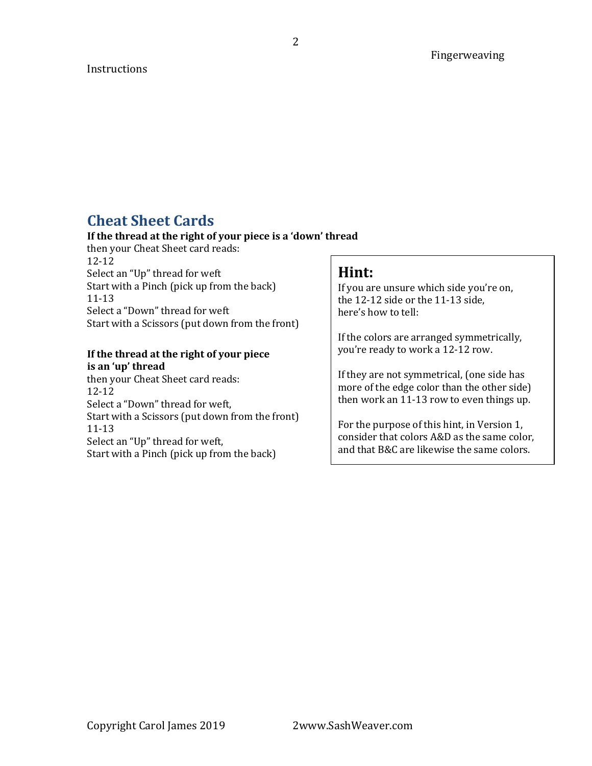#### **Instructions**

# **Cheat Sheet Cards**

#### If the thread at the right of your piece is a 'down' thread

then your Cheat Sheet card reads: 12-12 Select an "Up" thread for weft Start with a Pinch (pick up from the back) 11-13 Select a "Down" thread for weft Start with a Scissors (put down from the front)

#### **If the thread at the right of your piece** is an 'up' thread

then your Cheat Sheet card reads: 12-12 Select a "Down" thread for weft, Start with a Scissors (put down from the front) 11-13 Select an "Up" thread for weft, Start with a Pinch (pick up from the back)

### **Hint:**

If you are unsure which side you're on, the  $12-12$  side or the  $11-13$  side. here's how to tell:

If the colors are arranged symmetrically, you're ready to work a 12-12 row.

If they are not symmetrical, (one side has more of the edge color than the other side) then work an 11-13 row to even things up.

For the purpose of this hint, in Version 1, consider that colors A&D as the same color, and that B&C are likewise the same colors.